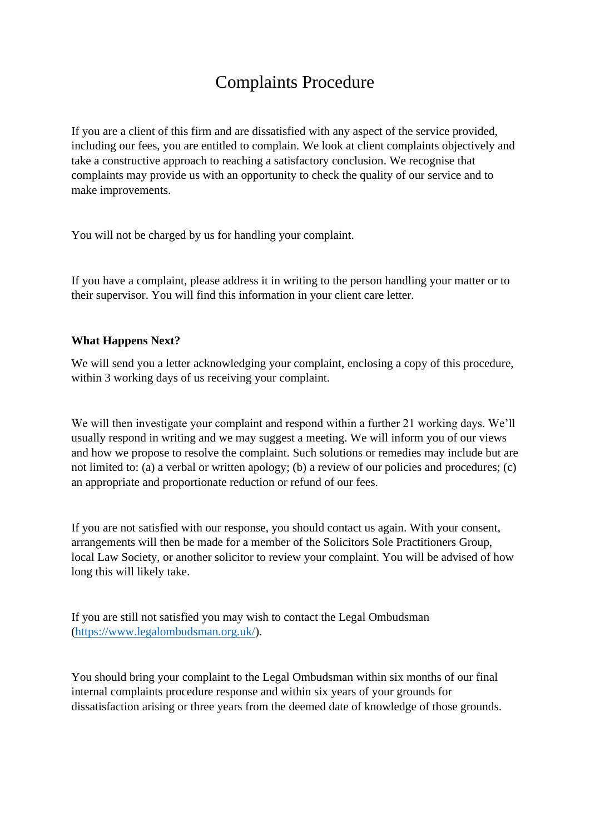## Complaints Procedure

If you are a client of this firm and are dissatisfied with any aspect of the service provided, including our fees, you are entitled to complain. We look at client complaints objectively and take a constructive approach to reaching a satisfactory conclusion. We recognise that complaints may provide us with an opportunity to check the quality of our service and to make improvements.

You will not be charged by us for handling your complaint.

If you have a complaint, please address it in writing to the person handling your matter or to their supervisor. You will find this information in your client care letter.

## **What Happens Next?**

We will send you a letter acknowledging your complaint, enclosing a copy of this procedure, within 3 working days of us receiving your complaint.

We will then investigate your complaint and respond within a further 21 working days. We'll usually respond in writing and we may suggest a meeting. We will inform you of our views and how we propose to resolve the complaint. Such solutions or remedies may include but are not limited to: (a) a verbal or written apology; (b) a review of our policies and procedures; (c) an appropriate and proportionate reduction or refund of our fees.

If you are not satisfied with our response, you should contact us again. With your consent, arrangements will then be made for a member of the Solicitors Sole Practitioners Group, local Law Society, or another solicitor to review your complaint. You will be advised of how long this will likely take.

If you are still not satisfied you may wish to contact the Legal Ombudsman [\(https://www.legalombudsman.org.uk/\)](https://www.legalombudsman.org.uk/).

You should bring your complaint to the Legal Ombudsman within six months of our final internal complaints procedure response and within six years of your grounds for dissatisfaction arising or three years from the deemed date of knowledge of those grounds.